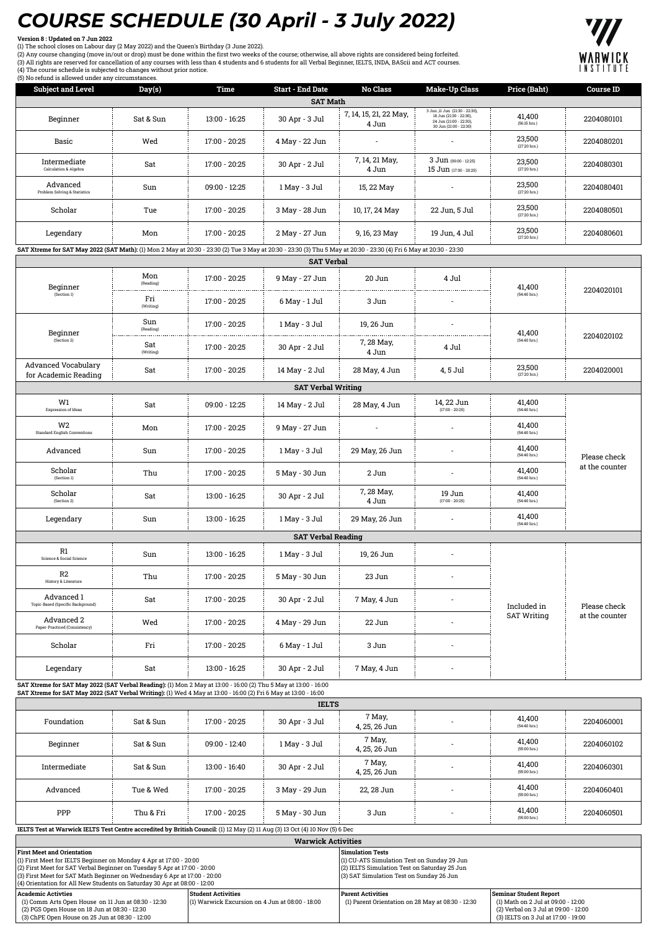## *COURSE SCHEDULE (30 April - 3 July 2022)*

**Version 8 : Updated on 7 Jun 2022** (1) The school closes on Labour day (2 May 2022) and the Queen's Birthday (3 June 2022).

(2) Any course changing (move in/out or drop) must be done within the first two weeks of the course; otherwise, all above rights are considered being forfeited.<br>(3) All rights are reserved for cancellation of any courses w





| <b>Subject and Level</b>                                                                                                                                                                                                           | Day(s)                                                                                                                                                                                                                     | <b>Time</b>               | <b>Start - End Date</b>                         | <b>No Class</b>                 | <b>Make-Up Class</b>                                                                                                                    | Price (Baht)                     | <b>Course ID</b>                                                                                                  |  |
|------------------------------------------------------------------------------------------------------------------------------------------------------------------------------------------------------------------------------------|----------------------------------------------------------------------------------------------------------------------------------------------------------------------------------------------------------------------------|---------------------------|-------------------------------------------------|---------------------------------|-----------------------------------------------------------------------------------------------------------------------------------------|----------------------------------|-------------------------------------------------------------------------------------------------------------------|--|
|                                                                                                                                                                                                                                    |                                                                                                                                                                                                                            |                           | <b>SAT Math</b>                                 |                                 | 3 Jun ,11 Jun (21:30 - 22:30),                                                                                                          |                                  |                                                                                                                   |  |
| Beginner                                                                                                                                                                                                                           | Sat & Sun                                                                                                                                                                                                                  | 13:00 - 16:25             | 30 Apr - 3 Jul                                  | 7, 14, 15, 21, 22 May,<br>4 Jun | 18 Jun (21:30 - 22:30).<br>24 Jun (21:00 - 22:30),<br>30 Jun (21:00 - 22:30)                                                            | 41,400<br>(56:15 hrs.)           | 2204080101                                                                                                        |  |
| Basic                                                                                                                                                                                                                              | Wed                                                                                                                                                                                                                        | 17:00 - 20:25             | 4 May - 22 Jun                                  |                                 |                                                                                                                                         | 23,500<br>(27:20 hrs.)           | 2204080201                                                                                                        |  |
| Intermediate<br>Calculation & Algebra                                                                                                                                                                                              | Sat                                                                                                                                                                                                                        | 17:00 - 20:25             | 30 Apr - 2 Jul                                  | 7, 14, 21 May,<br>4 Jun         | 3 Jun (09:00 - 12:25)<br>15 Jun (17:00 - 20:25)                                                                                         | 23,500<br>(27:20 hrs.)           | 2204080301                                                                                                        |  |
| Advanced<br>Problem Solving & Statistics                                                                                                                                                                                           | Sun                                                                                                                                                                                                                        | 09:00 - 12:25             | 1 May - 3 Jul                                   | 15, 22 May                      |                                                                                                                                         | 23,500<br>(27:20 hrs.)           | 2204080401                                                                                                        |  |
| Scholar                                                                                                                                                                                                                            | Tue                                                                                                                                                                                                                        | 17:00 - 20:25             | 3 May - 28 Jun                                  | 10, 17, 24 May                  | 22 Jun, 5 Jul                                                                                                                           | 23,500<br>(27:20 hrs.)           | 2204080501                                                                                                        |  |
| Legendary                                                                                                                                                                                                                          | Mon                                                                                                                                                                                                                        | 17:00 - 20:25             | 2 May - 27 Jun                                  | 9, 16, 23 May                   | 19 Jun, 4 Jul                                                                                                                           | 23,500<br>$(27:20$ hrs.)         | 2204080601                                                                                                        |  |
| SAT Xtreme for SAT May 2022 (SAT Math): (1) Mon 2 May at 20:30 - 23:30 (2) Tue 3 May at 20:30 - 23:30 (3) Thu 5 May at 20:30 - 23:30 (4) Fri 6 May at 20:30 - 23:30                                                                |                                                                                                                                                                                                                            |                           | <b>SAT Verbal</b>                               |                                 |                                                                                                                                         |                                  |                                                                                                                   |  |
|                                                                                                                                                                                                                                    | Mon                                                                                                                                                                                                                        |                           |                                                 |                                 |                                                                                                                                         |                                  |                                                                                                                   |  |
| Beginner                                                                                                                                                                                                                           | (Reading)                                                                                                                                                                                                                  | 17:00 - 20:25             | 9 May - 27 Jun                                  | 20 Jun                          | 4 Jul                                                                                                                                   | 41,400                           | 2204020101                                                                                                        |  |
| (Section 1)                                                                                                                                                                                                                        | Fri<br>(Writing)                                                                                                                                                                                                           | 17:00 - 20:25             | 6 May - 1 Jul                                   | 3 Jun                           |                                                                                                                                         | (54:40 hrs.)                     |                                                                                                                   |  |
| Beginner                                                                                                                                                                                                                           | Sun<br>(Reading)                                                                                                                                                                                                           | 17:00 - 20:25             | 1 May - 3 Jul                                   | 19, 26 Jun                      |                                                                                                                                         | 41,400                           | 2204020102                                                                                                        |  |
| (Section 2)                                                                                                                                                                                                                        | Sat<br>(Writing)                                                                                                                                                                                                           | 17:00 - 20:25             | 30 Apr - 2 Jul                                  | 7, 28 May,<br>4 Jun             | 4 Jul                                                                                                                                   | $(54:40 \text{ hrs.})$           |                                                                                                                   |  |
| <b>Advanced Vocabulary</b><br>for Academic Reading                                                                                                                                                                                 | Sat                                                                                                                                                                                                                        | 17:00 - 20:25             | 14 May - 2 Jul                                  | 28 May, 4 Jun                   | 4, 5 Jul                                                                                                                                | 23,500<br>(27:20 hrs.)           | 2204020001                                                                                                        |  |
|                                                                                                                                                                                                                                    |                                                                                                                                                                                                                            |                           | <b>SAT Verbal Writing</b>                       |                                 |                                                                                                                                         |                                  |                                                                                                                   |  |
| W1<br><b>Expression of Ideas</b>                                                                                                                                                                                                   | Sat                                                                                                                                                                                                                        | 09:00 - 12:25             | 14 May - 2 Jul                                  | 28 May, 4 Jun                   | 14, 22 Jun<br>$(17:00 - 20:25)$                                                                                                         | 41,400<br>$(54:40 \text{ hrs.})$ |                                                                                                                   |  |
| W <sub>2</sub><br><b>Standard English Conventions</b>                                                                                                                                                                              | Mon                                                                                                                                                                                                                        | 17:00 - 20:25             | 9 May - 27 Jun                                  |                                 |                                                                                                                                         | 41,400<br>$(54:40 \text{ hrs.})$ | Please check<br>at the counter                                                                                    |  |
| Advanced                                                                                                                                                                                                                           | Sun                                                                                                                                                                                                                        | 17:00 - 20:25             | 1 May - 3 Jul                                   | 29 May, 26 Jun                  | ÷                                                                                                                                       | 41,400<br>$(54:40 \text{ hrs.})$ |                                                                                                                   |  |
| Scholar<br>(Section 1)                                                                                                                                                                                                             | Thu                                                                                                                                                                                                                        | 17:00 - 20:25             | 5 May - 30 Jun                                  | 2 Jun                           | ä,                                                                                                                                      | 41,400<br>$(54:40 \text{ hrs.})$ |                                                                                                                   |  |
| Scholar<br>(Section 2)                                                                                                                                                                                                             | Sat                                                                                                                                                                                                                        | 13:00 - 16:25             | 30 Apr - 2 Jul                                  | 7, 28 May,<br>4 Jun             | 19 Jun<br>$(17:00 - 20:25)$                                                                                                             | 41,400<br>(54:40 hrs.)           |                                                                                                                   |  |
| Legendary                                                                                                                                                                                                                          | Sun                                                                                                                                                                                                                        | 13:00 - 16:25             | 1 May - 3 Jul                                   | 29 May, 26 Jun                  |                                                                                                                                         | 41,400<br>$(54:40 \text{ hrs.})$ |                                                                                                                   |  |
|                                                                                                                                                                                                                                    |                                                                                                                                                                                                                            |                           | <b>SAT Verbal Reading</b>                       |                                 |                                                                                                                                         |                                  |                                                                                                                   |  |
| R1<br>Science & Social Science                                                                                                                                                                                                     | Sun                                                                                                                                                                                                                        | 13:00 - 16:25             | 1 May - 3 Jul                                   | 19, 26 Jun                      |                                                                                                                                         |                                  |                                                                                                                   |  |
| R2<br>History & Literature                                                                                                                                                                                                         | Thu                                                                                                                                                                                                                        | 17:00 - 20:25             | 5 May - 30 Jun                                  | 23 Jun                          |                                                                                                                                         |                                  | Please check                                                                                                      |  |
| Advanced 1<br>Topic-Based (Specific Background)                                                                                                                                                                                    | Sat                                                                                                                                                                                                                        | 17:00 - 20:25             | 30 Apr - 2 Jul                                  | 7 May, 4 Jun                    |                                                                                                                                         | Included in                      |                                                                                                                   |  |
| Advanced 2<br>Paper-Practiced (Consistency)                                                                                                                                                                                        | Wed                                                                                                                                                                                                                        | 17:00 - 20:25             | 4 May - 29 Jun                                  | 22 Jun                          |                                                                                                                                         | <b>SAT Writing</b>               | at the counter                                                                                                    |  |
| Scholar                                                                                                                                                                                                                            | Fri                                                                                                                                                                                                                        | 17:00 - 20:25             | 6 May - 1 Jul                                   | 3 Jun                           |                                                                                                                                         |                                  |                                                                                                                   |  |
| Legendary                                                                                                                                                                                                                          | Sat                                                                                                                                                                                                                        | 13:00 - 16:25             | 30 Apr - 2 Jul                                  | 7 May, 4 Jun                    |                                                                                                                                         |                                  |                                                                                                                   |  |
| SAT Xtreme for SAT May 2022 (SAT Verbal Reading): (1) Mon 2 May at 13:00 - 16:00 (2) Thu 5 May at 13:00 - 16:00<br>SAT Xtreme for SAT May 2022 (SAT Verbal Writing): (1) Wed 4 May at 13:00 - 16:00 (2) Fri 6 May at 13:00 - 16:00 |                                                                                                                                                                                                                            |                           |                                                 |                                 |                                                                                                                                         |                                  |                                                                                                                   |  |
|                                                                                                                                                                                                                                    |                                                                                                                                                                                                                            |                           | <b>IELTS</b>                                    |                                 |                                                                                                                                         |                                  |                                                                                                                   |  |
| Foundation                                                                                                                                                                                                                         | Sat & Sun                                                                                                                                                                                                                  | 17:00 - 20:25             | 30 Apr - 3 Jul                                  | 7 May,<br>4, 25, 26 Jun         |                                                                                                                                         | 41,400<br>$(54:40 \text{ hrs.})$ | 2204060001                                                                                                        |  |
| Beginner                                                                                                                                                                                                                           | Sat & Sun                                                                                                                                                                                                                  | 09:00 - 12:40             | 1 May - 3 Jul                                   | 7 May,<br>4, 25, 26 Jun         |                                                                                                                                         | 41,400<br>(55:00 hrs.)           | 2204060102                                                                                                        |  |
| Intermediate                                                                                                                                                                                                                       | Sat & Sun                                                                                                                                                                                                                  | 13:00 - 16:40             | 30 Apr - 2 Jul                                  | 7 May,<br>4, 25, 26 Jun         |                                                                                                                                         | 41,400<br>(55:00 hrs.)           | 2204060301                                                                                                        |  |
| Advanced                                                                                                                                                                                                                           | Tue & Wed                                                                                                                                                                                                                  | 17:00 - 20:25             | 3 May - 29 Jun                                  | 22, 28 Jun                      |                                                                                                                                         | 41,400<br>(55:00 hrs.)           | 2204060401                                                                                                        |  |
| PPP                                                                                                                                                                                                                                | Thu & Fri                                                                                                                                                                                                                  | 17:00 - 20:25             | 5 May - 30 Jun                                  | 3 Jun                           |                                                                                                                                         | 41,400<br>(55:00 hrs.)           | 2204060501                                                                                                        |  |
| IELTS Test at Warwick IELTS Test Centre accredited by British Council: (1) 12 May (2) 11 Aug (3) 13 Oct (4) 10 Nov (5) 6 Dec                                                                                                       |                                                                                                                                                                                                                            |                           | <b>Warwick Activities</b>                       |                                 |                                                                                                                                         |                                  |                                                                                                                   |  |
| <b>First Meet and Orientation</b>                                                                                                                                                                                                  |                                                                                                                                                                                                                            |                           |                                                 | <b>Simulation Tests</b>         |                                                                                                                                         |                                  |                                                                                                                   |  |
|                                                                                                                                                                                                                                    | (1) First Meet for IELTS Beginner on Monday 4 Apr at 17:00 - 20:00<br>(2) First Meet for SAT Verbal Beginner on Tuesday 5 Apr at 17:00 - 20:00<br>(3) First Meet for SAT Math Beginner on Wednesday 6 Apr at 17:00 - 20:00 |                           |                                                 |                                 | (1) CU-ATS Simulation Test on Sunday 29 Jun<br>(2) IELTS Simulation Test on Saturday 25 Jun<br>(3) SAT Simulation Test on Sunday 26 Jun |                                  |                                                                                                                   |  |
| (4) Orientation for All New Students on Saturday 30 Apr at 08:00 - 12:00<br><b>Academic Activties</b>                                                                                                                              |                                                                                                                                                                                                                            | <b>Student Activities</b> |                                                 | <b>Parent Activities</b>        |                                                                                                                                         | <b>Seminar Student Report</b>    |                                                                                                                   |  |
|                                                                                                                                                                                                                                    | (1) Comm Arts Open House on 11 Jun at 08:30 - 12:30<br>(2) PGS Open House on 18 Jun at 08:30 - 12:30<br>(3) ChPE Open House on 25 Jun at 08:30 - 12:00                                                                     |                           | (1) Warwick Excursion on 4 Jun at 08:00 - 18:00 |                                 | (1) Parent Orientation on 28 May at 08:30 - 12:30                                                                                       |                                  | (1) Math on 2 Jul at 09:00 - 12:00<br>(2) Verbal on 3 Jul at 09:00 - 12:00<br>(3) IELTS on 3 Jul at 17:00 - 19:00 |  |